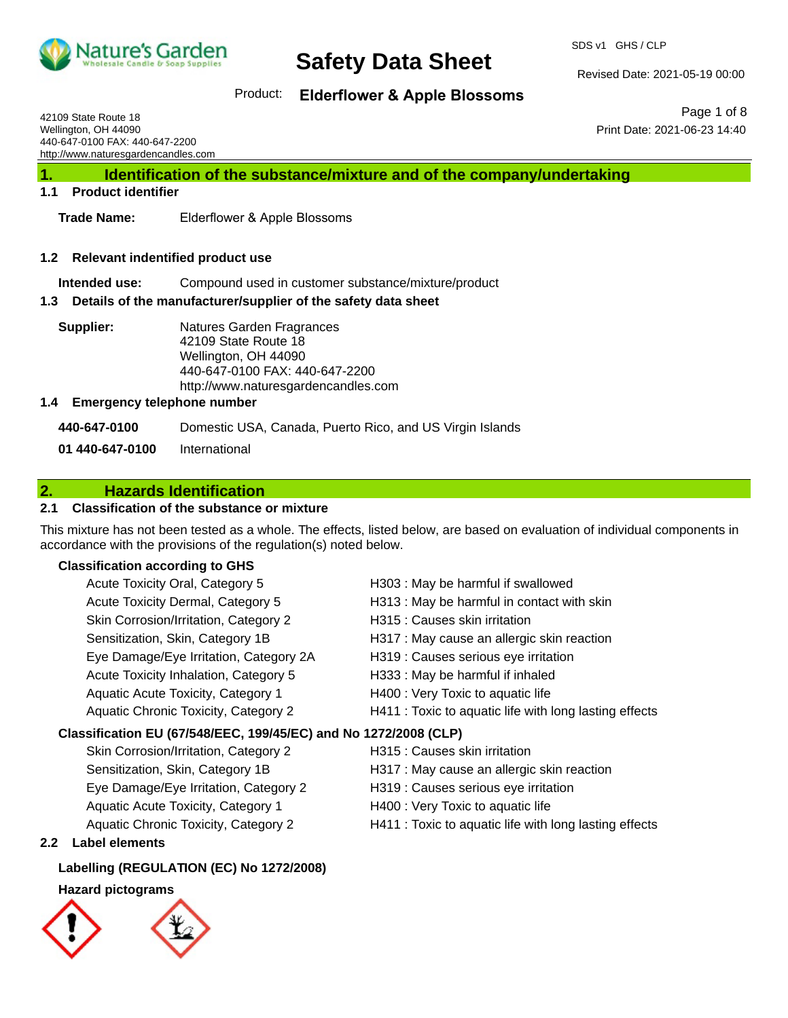

SDS v1 GHS / CLP

Revised Date: 2021-05-19 00:00

Product: **Elderflower & Apple Blossoms** 

42109 State Route 18 Wellington, OH 44090 440-647-0100 FAX: 440-647-2200 http://www.naturesgardencandles.com

Page 1 of 8 Print Date: 2021-06-23 14:40

**1. Identification of the substance/mixture and of the company/undertaking**

#### **1.1 Product identifier**

**Trade Name:** Elderflower & Apple Blossoms

#### **1.2 Relevant indentified product use**

**Intended use:** Compound used in customer substance/mixture/product

#### **1.3 Details of the manufacturer/supplier of the safety data sheet**

**Supplier:** Natures Garden Fragrances 42109 State Route 18 Wellington, OH 44090 440-647-0100 FAX: 440-647-2200 http://www.naturesgardencandles.com

#### **1.4 Emergency telephone number**

**440-647-0100** Domestic USA, Canada, Puerto Rico, and US Virgin Islands **01 440-647-0100** International

### **2. Hazards Identification**

#### **2.1 Classification of the substance or mixture**

This mixture has not been tested as a whole. The effects, listed below, are based on evaluation of individual components in accordance with the provisions of the regulation(s) noted below.

#### **Classification according to GHS**

| Acute Toxicity Oral, Category 5                                  | H303 : May be harmful if swallowed                     |
|------------------------------------------------------------------|--------------------------------------------------------|
| Acute Toxicity Dermal, Category 5                                | H313 : May be harmful in contact with skin             |
| Skin Corrosion/Irritation, Category 2                            | H315 : Causes skin irritation                          |
| Sensitization, Skin, Category 1B                                 | H317 : May cause an allergic skin reaction             |
| Eye Damage/Eye Irritation, Category 2A                           | H319 : Causes serious eye irritation                   |
| Acute Toxicity Inhalation, Category 5                            | H333: May be harmful if inhaled                        |
| Aquatic Acute Toxicity, Category 1                               | H400 : Very Toxic to aquatic life                      |
| Aquatic Chronic Toxicity, Category 2                             | H411 : Toxic to aquatic life with long lasting effects |
| Classification EU (67/548/EEC, 199/45/EC) and No 1272/2008 (CLP) |                                                        |
| Skin Corrosion/Irritation, Category 2                            | H315 : Causes skin irritation                          |

- Eye Damage/Eye Irritation, Category 2 H319 : Causes serious eye irritation Aquatic Acute Toxicity, Category 1 **H400** : Very Toxic to aquatic life
- 
- Sensitization, Skin, Category 1B **H317** : May cause an allergic skin reaction
	-
	-
- Aquatic Chronic Toxicity, Category 2 H411 : Toxic to aquatic life with long lasting effects

#### **2.2 Label elements**

#### **Labelling (REGULATION (EC) No 1272/2008)**

#### **Hazard pictograms**

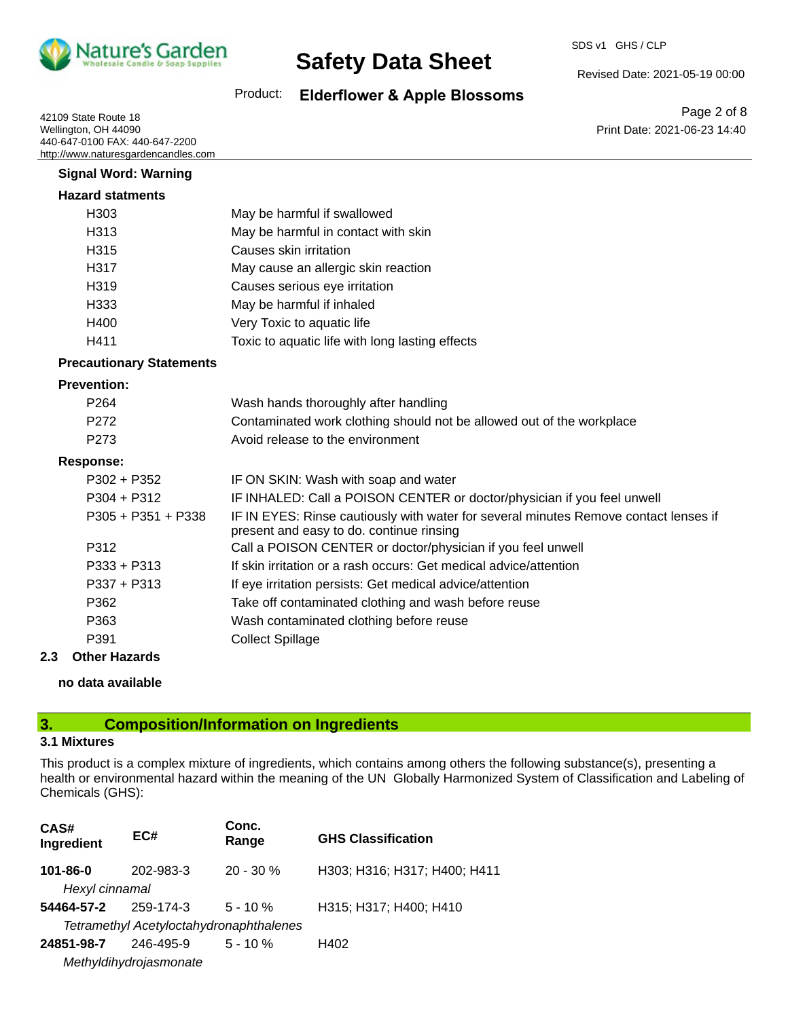

SDS v1 GHS / CLP

Revised Date: 2021-05-19 00:00

Product: **Elderflower & Apple Blossoms** 

42109 State Route 18 Wellington, OH 44090 440-647-0100 FAX: 440-647-2200 http://www.naturesgardencandles.com

Page 2 of 8 Print Date: 2021-06-23 14:40

| <b>Signal Word: Warning</b>     |                                                                                                                                  |
|---------------------------------|----------------------------------------------------------------------------------------------------------------------------------|
| <b>Hazard statments</b>         |                                                                                                                                  |
| H <sub>303</sub>                | May be harmful if swallowed                                                                                                      |
| H313                            | May be harmful in contact with skin                                                                                              |
| H <sub>315</sub>                | Causes skin irritation                                                                                                           |
| H317                            | May cause an allergic skin reaction                                                                                              |
| H319                            | Causes serious eye irritation                                                                                                    |
| H333                            | May be harmful if inhaled                                                                                                        |
| H400                            | Very Toxic to aquatic life                                                                                                       |
| H411                            | Toxic to aquatic life with long lasting effects                                                                                  |
| <b>Precautionary Statements</b> |                                                                                                                                  |
| <b>Prevention:</b>              |                                                                                                                                  |
| P264                            | Wash hands thoroughly after handling                                                                                             |
| P <sub>272</sub>                | Contaminated work clothing should not be allowed out of the workplace                                                            |
| P <sub>273</sub>                | Avoid release to the environment                                                                                                 |
| <b>Response:</b>                |                                                                                                                                  |
| $P302 + P352$                   | IF ON SKIN: Wash with soap and water                                                                                             |
| $P304 + P312$                   | IF INHALED: Call a POISON CENTER or doctor/physician if you feel unwell                                                          |
| $P305 + P351 + P338$            | IF IN EYES: Rinse cautiously with water for several minutes Remove contact lenses if<br>present and easy to do. continue rinsing |
| P312                            | Call a POISON CENTER or doctor/physician if you feel unwell                                                                      |
| $P333 + P313$                   | If skin irritation or a rash occurs: Get medical advice/attention                                                                |
| P337 + P313                     | If eye irritation persists: Get medical advice/attention                                                                         |
| P362                            | Take off contaminated clothing and wash before reuse                                                                             |
| P363                            | Wash contaminated clothing before reuse                                                                                          |
| P391                            | <b>Collect Spillage</b>                                                                                                          |

#### **2.3 Other Hazards**

**no data available**

#### **3. Composition/Information on Ingredients**

#### **3.1 Mixtures**

This product is a complex mixture of ingredients, which contains among others the following substance(s), presenting a health or environmental hazard within the meaning of the UN Globally Harmonized System of Classification and Labeling of Chemicals (GHS):

| CAS#<br>Ingredient                      | EC#       | Conc.<br>Range | <b>GHS Classification</b>    |
|-----------------------------------------|-----------|----------------|------------------------------|
| 101-86-0                                | 202-983-3 | $20 - 30 \%$   | H303; H316; H317; H400; H411 |
| Hexyl cinnamal                          |           |                |                              |
| 54464-57-2                              | 259-174-3 | $5 - 10 \%$    | H315; H317; H400; H410       |
| Tetramethyl Acetyloctahydronaphthalenes |           |                |                              |
| 24851-98-7                              | 246-495-9 | $5 - 10 \%$    | H402                         |
| Methyldihydrojasmonate                  |           |                |                              |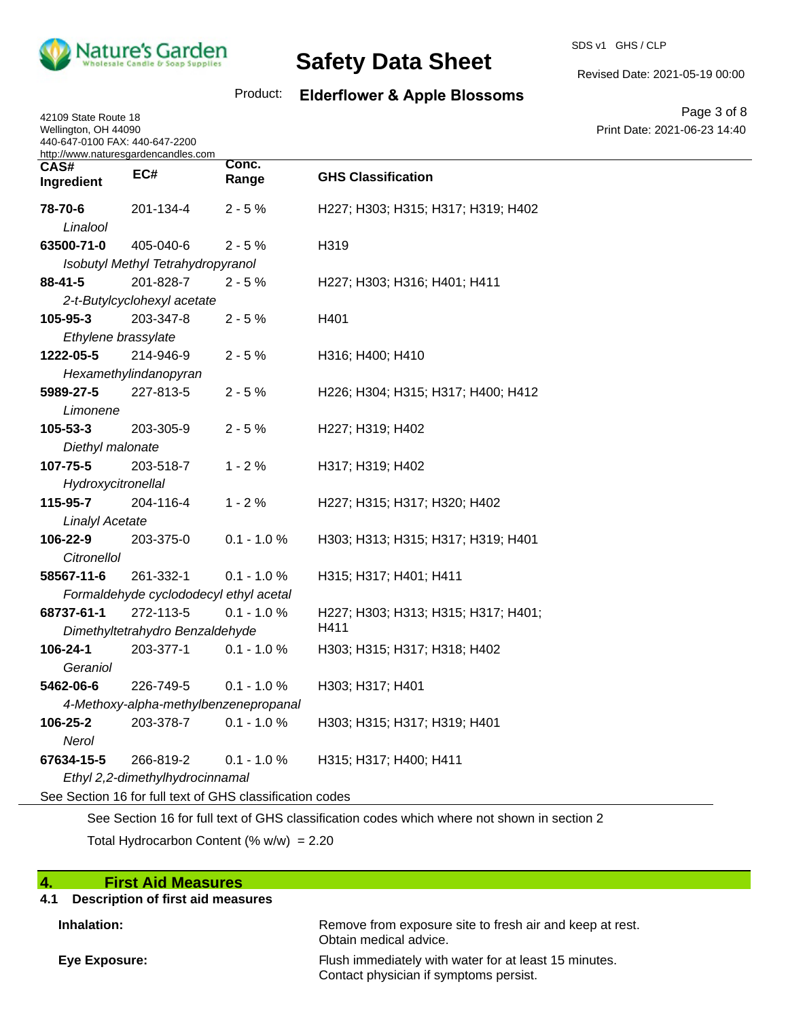

42109 State Route 18 Wellington, OH 44090

# **Safety Data Sheet**

SDS v1 GHS / CLP

Revised Date: 2021-05-19 00:00

### Product: **Elderflower & Apple Blossoms**

Page 3 of 8 Print Date: 2021-06-23 14:40

| 440-647-0100 FAX: 440-647-2200 | http://www.naturesgardencandles.com            |                                                          |                                     |  |
|--------------------------------|------------------------------------------------|----------------------------------------------------------|-------------------------------------|--|
| CAS#<br>Ingredient             | EC#                                            | Conc.<br>Range                                           | <b>GHS Classification</b>           |  |
| 78-70-6<br>Linalool            | 201-134-4                                      | $2 - 5%$                                                 | H227; H303; H315; H317; H319; H402  |  |
| 63500-71-0                     |                                                | $2 - 5%$                                                 | H319                                |  |
|                                | 405-040-6<br>Isobutyl Methyl Tetrahydropyranol |                                                          |                                     |  |
| 88-41-5                        | 201-828-7                                      | $2 - 5%$                                                 | H227; H303; H316; H401; H411        |  |
|                                | 2-t-Butylcyclohexyl acetate                    |                                                          |                                     |  |
| 105-95-3                       | 203-347-8                                      | $2 - 5%$                                                 | H401                                |  |
|                                | Ethylene brassylate                            |                                                          |                                     |  |
| 1222-05-5                      | 214-946-9                                      | $2 - 5%$                                                 | H316; H400; H410                    |  |
|                                | Hexamethylindanopyran                          |                                                          |                                     |  |
| 5989-27-5                      | 227-813-5                                      | $2 - 5%$                                                 | H226; H304; H315; H317; H400; H412  |  |
| Limonene                       |                                                |                                                          |                                     |  |
| 105-53-3                       | 203-305-9                                      | $2 - 5%$                                                 | H227; H319; H402                    |  |
| Diethyl malonate               |                                                |                                                          |                                     |  |
| 107-75-5                       | 203-518-7                                      | $1 - 2%$                                                 | H317; H319; H402                    |  |
| Hydroxycitronellal             |                                                |                                                          |                                     |  |
| 115-95-7                       | 204-116-4                                      | $1 - 2%$                                                 | H227; H315; H317; H320; H402        |  |
| <b>Linalyl Acetate</b>         |                                                |                                                          |                                     |  |
| 106-22-9                       | 203-375-0                                      | $0.1 - 1.0 %$                                            | H303; H313; H315; H317; H319; H401  |  |
| <b>Citronellol</b>             |                                                |                                                          |                                     |  |
| 58567-11-6                     | 261-332-1                                      | $0.1 - 1.0 %$                                            | H315; H317; H401; H411              |  |
|                                |                                                | Formaldehyde cyclododecyl ethyl acetal                   |                                     |  |
| 68737-61-1                     | 272-113-5                                      | $0.1 - 1.0 %$                                            | H227; H303; H313; H315; H317; H401; |  |
|                                | Dimethyltetrahydro Benzaldehyde                |                                                          | H411                                |  |
| 106-24-1                       | 203-377-1                                      | $0.1 - 1.0 %$                                            | H303; H315; H317; H318; H402        |  |
| Geraniol                       |                                                |                                                          |                                     |  |
| 5462-06-6                      | 226-749-5                                      | $0.1 - 1.0 %$                                            | H303; H317; H401                    |  |
|                                |                                                | 4-Methoxy-alpha-methylbenzenepropanal                    |                                     |  |
| 106-25-2                       | 203-378-7                                      | $0.1 - 1.0 %$                                            | H303; H315; H317; H319; H401        |  |
| Nerol                          |                                                |                                                          |                                     |  |
| 67634-15-5                     | 266-819-2                                      | $0.1 - 1.0 %$                                            | H315; H317; H400; H411              |  |
|                                | Ethyl 2,2-dimethylhydrocinnamal                |                                                          |                                     |  |
|                                |                                                | See Section 16 for full text of GHS classification codes |                                     |  |
|                                |                                                |                                                          |                                     |  |

See Section 16 for full text of GHS classification codes which where not shown in section 2

Total Hydrocarbon Content  $(\% w/w) = 2.20$ 

| $\blacktriangleleft$<br><b>First Aid Measures</b> |                                                                                                 |
|---------------------------------------------------|-------------------------------------------------------------------------------------------------|
| Description of first aid measures<br>4.1          |                                                                                                 |
| Inhalation:                                       | Remove from exposure site to fresh air and keep at rest.<br>Obtain medical advice.              |
| Eye Exposure:                                     | Flush immediately with water for at least 15 minutes.<br>Contact physician if symptoms persist. |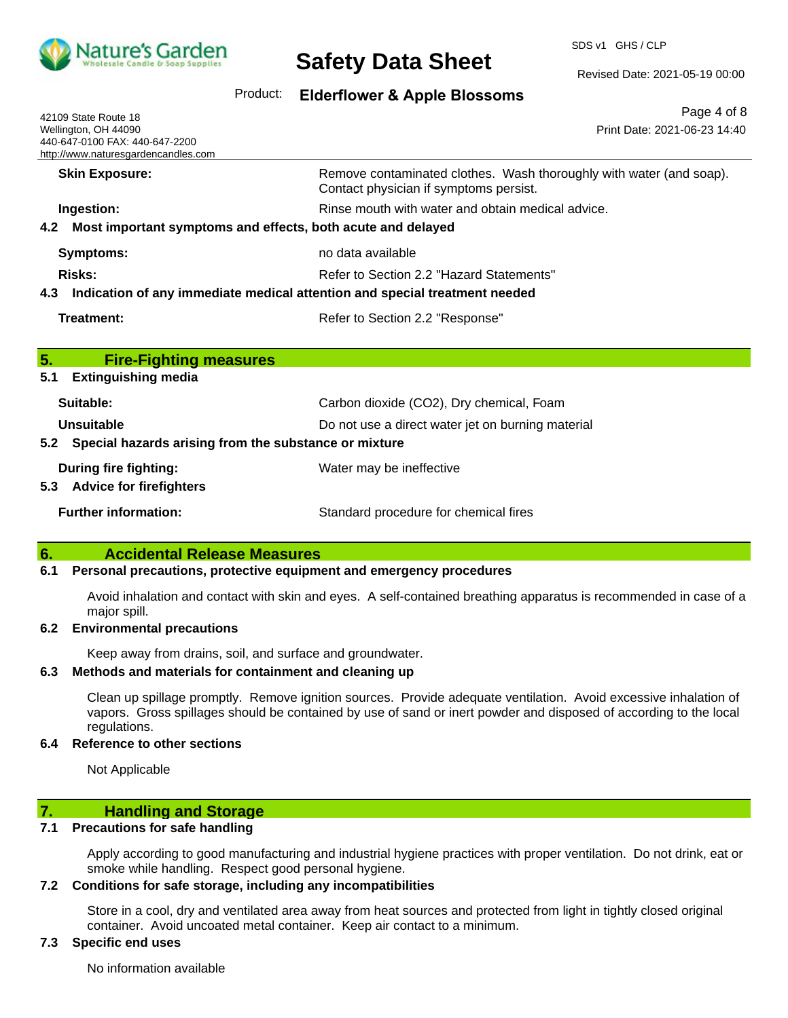

SDS v1 GHS / CLP

Revised Date: 2021-05-19 00:00

Product: **Elderflower & Apple Blossoms** 

| 42109 State Route 18<br>Wellington, OH 44090<br>440-647-0100 FAX: 440-647-2200<br>http://www.naturesgardencandles.com | Page 4 of 8<br>Print Date: 2021-06-23 14:40                                                                   |
|-----------------------------------------------------------------------------------------------------------------------|---------------------------------------------------------------------------------------------------------------|
| <b>Skin Exposure:</b>                                                                                                 | Remove contaminated clothes. Wash thoroughly with water (and soap).<br>Contact physician if symptoms persist. |
| Ingestion:                                                                                                            | Rinse mouth with water and obtain medical advice.                                                             |
| Most important symptoms and effects, both acute and delayed<br>4.2                                                    |                                                                                                               |
| Symptoms:                                                                                                             | no data available                                                                                             |
| Risks:                                                                                                                | Refer to Section 2.2 "Hazard Statements"                                                                      |
| Indication of any immediate medical attention and special treatment needed<br>4.3                                     |                                                                                                               |
| Treatment:                                                                                                            | Refer to Section 2.2 "Response"                                                                               |
| 5.<br><b>Fire-Fighting measures</b><br><b>Extinguishing media</b><br>5.1                                              |                                                                                                               |
| Suitable:                                                                                                             | Carbon dioxide (CO2), Dry chemical, Foam                                                                      |
| Unsuitable                                                                                                            | Do not use a direct water jet on burning material                                                             |
| Special hazards arising from the substance or mixture<br>5.2                                                          |                                                                                                               |
| <b>During fire fighting:</b><br><b>Advice for firefighters</b><br>5.3                                                 | Water may be ineffective                                                                                      |
| <b>Further information:</b>                                                                                           | Standard procedure for chemical fires                                                                         |

#### **6. Accidental Release Measures**

#### **6.1 Personal precautions, protective equipment and emergency procedures**

Avoid inhalation and contact with skin and eyes. A self-contained breathing apparatus is recommended in case of a major spill.

#### **6.2 Environmental precautions**

Keep away from drains, soil, and surface and groundwater.

#### **6.3 Methods and materials for containment and cleaning up**

Clean up spillage promptly. Remove ignition sources. Provide adequate ventilation. Avoid excessive inhalation of vapors. Gross spillages should be contained by use of sand or inert powder and disposed of according to the local regulations.

#### **6.4 Reference to other sections**

Not Applicable

#### **7. Handling and Storage**

#### **7.1 Precautions for safe handling**

Apply according to good manufacturing and industrial hygiene practices with proper ventilation. Do not drink, eat or smoke while handling. Respect good personal hygiene.

#### **7.2 Conditions for safe storage, including any incompatibilities**

Store in a cool, dry and ventilated area away from heat sources and protected from light in tightly closed original container. Avoid uncoated metal container. Keep air contact to a minimum.

#### **7.3 Specific end uses**

No information available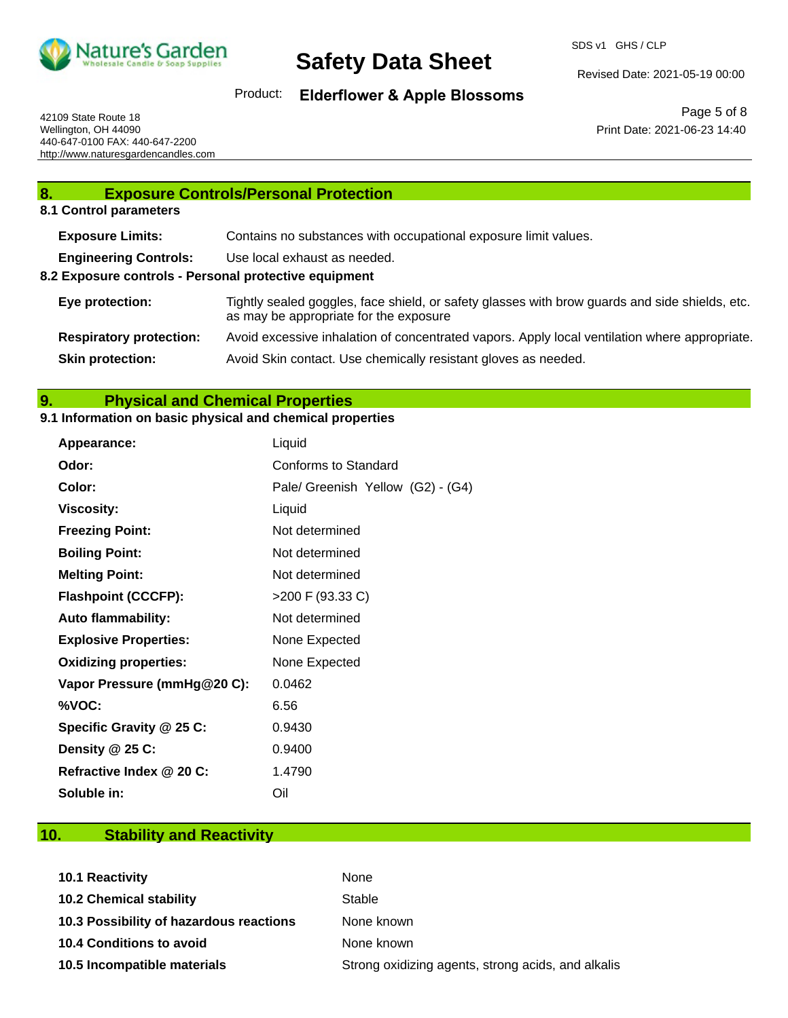

Revised Date: 2021-05-19 00:00

Product: **Elderflower & Apple Blossoms** 

42109 State Route 18 Wellington, OH 44090 440-647-0100 FAX: 440-647-2200 http://www.naturesgardencandles.com

Page 5 of 8 Print Date: 2021-06-23 14:40

### **8. Exposure Controls/Personal Protection 8.1 Control parameters Exposure Limits:** Contains no substances with occupational exposure limit values. **Engineering Controls:** Use local exhaust as needed. **8.2 Exposure controls - Personal protective equipment Eye protection:** Tightly sealed goggles, face shield, or safety glasses with brow guards and side shields, etc. as may be appropriate for the exposure **Respiratory protection:** Avoid excessive inhalation of concentrated vapors. Apply local ventilation where appropriate. **Skin protection:** Avoid Skin contact. Use chemically resistant gloves as needed.

#### **9. Physical and Chemical Properties**

#### **9.1 Information on basic physical and chemical properties**

| Appearance:                  | Liquid                            |
|------------------------------|-----------------------------------|
| Odor:                        | Conforms to Standard              |
| Color:                       | Pale/ Greenish Yellow (G2) - (G4) |
| <b>Viscosity:</b>            | Liquid                            |
| <b>Freezing Point:</b>       | Not determined                    |
| <b>Boiling Point:</b>        | Not determined                    |
| <b>Melting Point:</b>        | Not determined                    |
| <b>Flashpoint (CCCFP):</b>   | >200 F (93.33 C)                  |
| <b>Auto flammability:</b>    | Not determined                    |
| <b>Explosive Properties:</b> | None Expected                     |
| <b>Oxidizing properties:</b> | None Expected                     |
| Vapor Pressure (mmHg@20 C):  | 0.0462                            |
| %VOC:                        | 6.56                              |
| Specific Gravity @ 25 C:     | 0.9430                            |
| Density @ 25 C:              | 0.9400                            |
| Refractive Index @ 20 C:     | 1.4790                            |
| Soluble in:                  | Oil                               |

### **10. Stability and Reactivity**

| 10.1 Reactivity                         | None                                               |
|-----------------------------------------|----------------------------------------------------|
| <b>10.2 Chemical stability</b>          | Stable                                             |
| 10.3 Possibility of hazardous reactions | None known                                         |
| 10.4 Conditions to avoid                | None known                                         |
| 10.5 Incompatible materials             | Strong oxidizing agents, strong acids, and alkalis |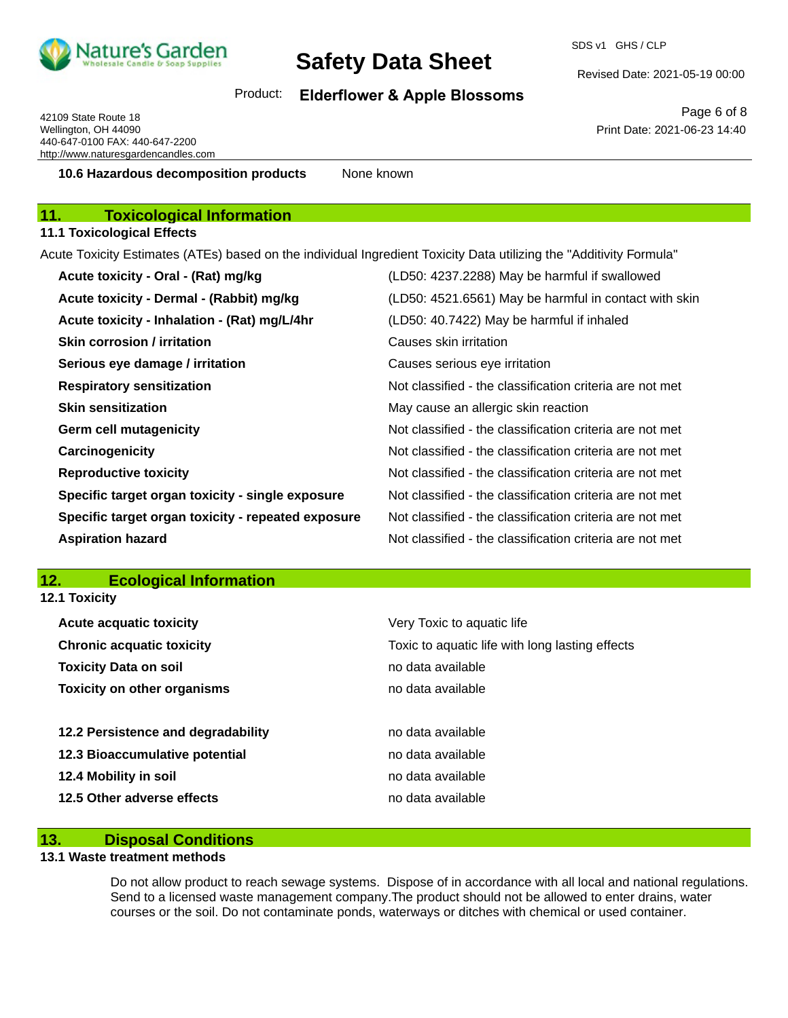

SDS v1 GHS / CLP

Revised Date: 2021-05-19 00:00

### Product: **Elderflower & Apple Blossoms**

42109 State Route 18 Wellington, OH 44090 440-647-0100 FAX: 440-647-2200 http://www.naturesgardencandles.com

Page 6 of 8 Print Date: 2021-06-23 14:40

**10.6 Hazardous decomposition products** None known

### **11. Toxicological Information**

#### **11.1 Toxicological Effects**

Acute Toxicity Estimates (ATEs) based on the individual Ingredient Toxicity Data utilizing the "Additivity Formula"

| Acute toxicity - Oral - (Rat) mg/kg                | (LD50: 4237.2288) May be harmful if swallowed            |
|----------------------------------------------------|----------------------------------------------------------|
| Acute toxicity - Dermal - (Rabbit) mg/kg           | (LD50: 4521.6561) May be harmful in contact with skin    |
| Acute toxicity - Inhalation - (Rat) mg/L/4hr       | (LD50: 40.7422) May be harmful if inhaled                |
| <b>Skin corrosion / irritation</b>                 | Causes skin irritation                                   |
| Serious eye damage / irritation                    | Causes serious eye irritation                            |
| <b>Respiratory sensitization</b>                   | Not classified - the classification criteria are not met |
| <b>Skin sensitization</b>                          | May cause an allergic skin reaction                      |
| <b>Germ cell mutagenicity</b>                      | Not classified - the classification criteria are not met |
| Carcinogenicity                                    | Not classified - the classification criteria are not met |
| <b>Reproductive toxicity</b>                       | Not classified - the classification criteria are not met |
| Specific target organ toxicity - single exposure   | Not classified - the classification criteria are not met |
| Specific target organ toxicity - repeated exposure | Not classified - the classification criteria are not met |
| <b>Aspiration hazard</b>                           | Not classified - the classification criteria are not met |

#### **12. Ecological Information 12.1 Toxicity**

| IL.I IUAIUILV                      |                                                                               |  |  |
|------------------------------------|-------------------------------------------------------------------------------|--|--|
| <b>Acute acquatic toxicity</b>     | Very Toxic to aquatic life<br>Toxic to aquatic life with long lasting effects |  |  |
| <b>Chronic acquatic toxicity</b>   |                                                                               |  |  |
| <b>Toxicity Data on soil</b>       | no data available                                                             |  |  |
| <b>Toxicity on other organisms</b> | no data available                                                             |  |  |
| 12.2 Persistence and degradability | no data available                                                             |  |  |
| 12.3 Bioaccumulative potential     | no data available                                                             |  |  |
| 12.4 Mobility in soil              | no data available                                                             |  |  |
| 12.5 Other adverse effects         | no data available                                                             |  |  |

#### **13. Disposal Conditions**

#### **13.1 Waste treatment methods**

Do not allow product to reach sewage systems. Dispose of in accordance with all local and national regulations. Send to a licensed waste management company.The product should not be allowed to enter drains, water courses or the soil. Do not contaminate ponds, waterways or ditches with chemical or used container.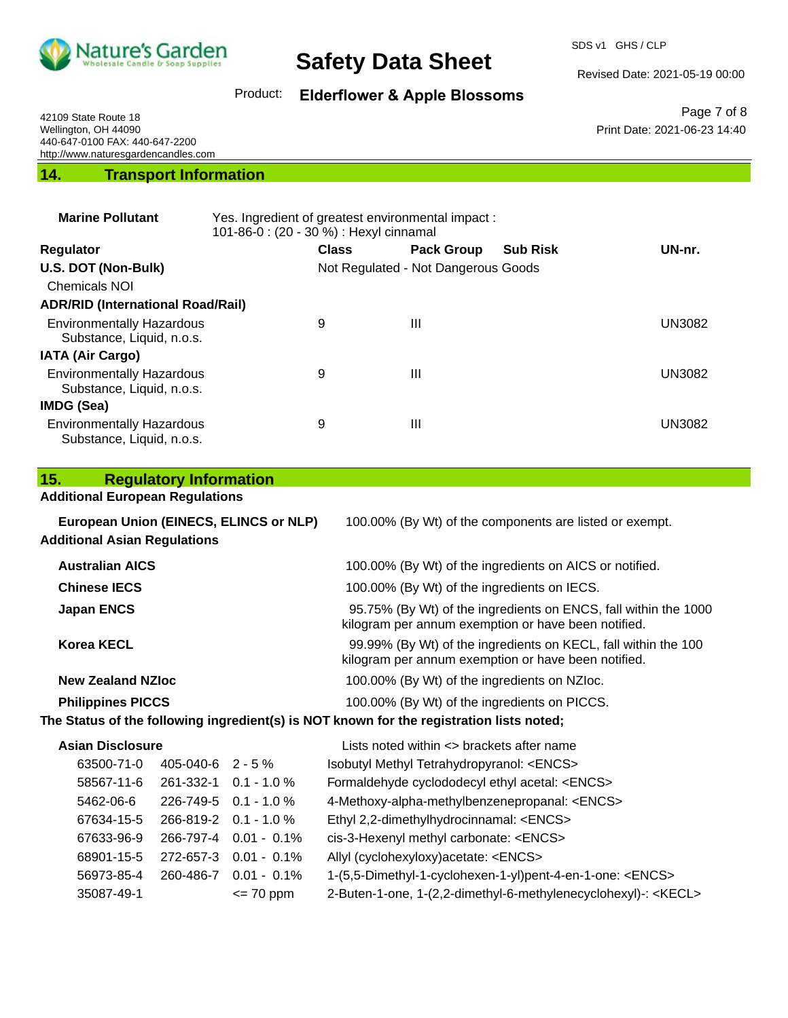

SDS v1 GHS / CLP

Revised Date: 2021-05-19 00:00

Print Date: 2021-06-23 14:40

Page 7 of 8

Product: **Elderflower & Apple Blossoms** 

42109 State Route 18 Wellington, OH 44090 440-647-0100 FAX: 440-647-2200 http://www.naturesgardencandles.com

**14. Transport Information**

| <b>Marine Pollutant</b>                                       | Yes. Ingredient of greatest environmental impact:<br>101-86-0 : (20 - 30 %) : Hexyl cinnamal |                                     |                   |                 |               |
|---------------------------------------------------------------|----------------------------------------------------------------------------------------------|-------------------------------------|-------------------|-----------------|---------------|
| <b>Regulator</b>                                              |                                                                                              | <b>Class</b>                        | <b>Pack Group</b> | <b>Sub Risk</b> | UN-nr.        |
| U.S. DOT (Non-Bulk)                                           |                                                                                              | Not Regulated - Not Dangerous Goods |                   |                 |               |
| <b>Chemicals NOI</b>                                          |                                                                                              |                                     |                   |                 |               |
| <b>ADR/RID (International Road/Rail)</b>                      |                                                                                              |                                     |                   |                 |               |
| <b>Environmentally Hazardous</b><br>Substance, Liquid, n.o.s. |                                                                                              | 9                                   | Ш                 |                 | <b>UN3082</b> |
| <b>IATA (Air Cargo)</b>                                       |                                                                                              |                                     |                   |                 |               |
| <b>Environmentally Hazardous</b><br>Substance, Liquid, n.o.s. |                                                                                              | 9                                   | Ш                 |                 | UN3082        |
| IMDG (Sea)                                                    |                                                                                              |                                     |                   |                 |               |
| <b>Environmentally Hazardous</b><br>Substance, Liquid, n.o.s. |                                                                                              | 9                                   | $\mathbf{III}$    |                 | UN3082        |

#### **15. Regulatory Information**

#### **Additional European Regulations**

| European Union (EINECS, ELINCS or NLP)<br><b>Additional Asian Regulations</b>            | 100.00% (By Wt) of the components are listed or exempt.                                                                |
|------------------------------------------------------------------------------------------|------------------------------------------------------------------------------------------------------------------------|
| <b>Australian AICS</b>                                                                   | 100.00% (By Wt) of the ingredients on AICS or notified.                                                                |
| <b>Chinese IECS</b>                                                                      | 100.00% (By Wt) of the ingredients on IECS.                                                                            |
| <b>Japan ENCS</b>                                                                        | 95.75% (By Wt) of the ingredients on ENCS, fall within the 1000<br>kilogram per annum exemption or have been notified. |
| <b>Korea KECL</b>                                                                        | 99.99% (By Wt) of the ingredients on KECL, fall within the 100<br>kilogram per annum exemption or have been notified.  |
| <b>New Zealand NZIoc</b>                                                                 | 100.00% (By Wt) of the ingredients on NZIoc.                                                                           |
| <b>Philippines PICCS</b>                                                                 | 100.00% (By Wt) of the ingredients on PICCS.                                                                           |
| The Status of the following ingredient(s) is NOT known for the registration lists noted; |                                                                                                                        |

|               | Isot                                                                                                                                                                    |
|---------------|-------------------------------------------------------------------------------------------------------------------------------------------------------------------------|
|               | For                                                                                                                                                                     |
|               | $4-N$                                                                                                                                                                   |
|               | Eth                                                                                                                                                                     |
|               | cis-                                                                                                                                                                    |
|               | Ally                                                                                                                                                                    |
|               | $1-(5$                                                                                                                                                                  |
| $\leq$ 70 ppm | $2-B$                                                                                                                                                                   |
|               | 405-040-6 2 - 5 %<br>261-332-1 0.1 - 1.0 %<br>226-749-5 0.1 - 1.0 %<br>266-819-2 0.1 - 1.0 %<br>266-797-4 0.01 - 0.1%<br>272-657-3 0.01 - 0.1%<br>260-486-7 0.01 - 0.1% |

**Asian Disclosure Lists noted within <> brackets after name** butyl Methyl Tetrahydropyranol: <ENCS> maldehyde cyclododecyl ethyl acetal: <ENCS> 1ethoxy-alpha-methylbenzenepropanal: <ENCS> yl 2,2-dimethylhydrocinnamal: <ENCS> 3-Hexenyl methyl carbonate: <ENCS> d (cyclohexyloxy)acetate: <ENCS> 5,5-Dimethyl-1-cyclohexen-1-yl)pent-4-en-1-one: <ENCS>

3uten-1-one, 1-(2,2-dimethyl-6-methylenecyclohexyl)-: <KECL>